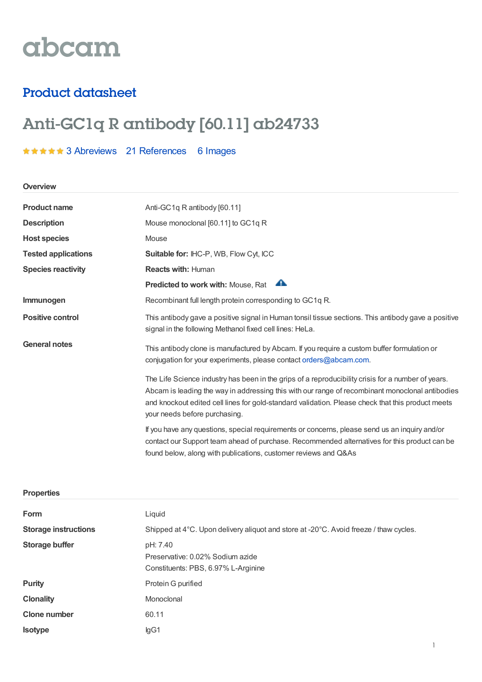# abcam

## Product datasheet

# Anti-GC1q R antibody [60.11] ab24733

### **★★★★★** 3 [Abreviews](https://www.abcam.com/gc1q-r-antibody-6011-ab24733.html?productWallTab=Abreviews) 21 [References](https://www.abcam.com/gc1q-r-antibody-6011-ab24733.html#description_references) 6 Images

**Overview**

| <b>Product name</b>        | Anti-GC1q R antibody [60.11]                                                                                                                                                                                                                                                                                                                |
|----------------------------|---------------------------------------------------------------------------------------------------------------------------------------------------------------------------------------------------------------------------------------------------------------------------------------------------------------------------------------------|
| <b>Description</b>         | Mouse monoclonal [60.11] to GC1q R                                                                                                                                                                                                                                                                                                          |
| <b>Host species</b>        | Mouse                                                                                                                                                                                                                                                                                                                                       |
| <b>Tested applications</b> | <b>Suitable for: IHC-P, WB, Flow Cyt, ICC</b>                                                                                                                                                                                                                                                                                               |
| <b>Species reactivity</b>  | <b>Reacts with: Human</b>                                                                                                                                                                                                                                                                                                                   |
|                            | A<br>Predicted to work with: Mouse, Rat                                                                                                                                                                                                                                                                                                     |
| Immunogen                  | Recombinant full length protein corresponding to GC1q R.                                                                                                                                                                                                                                                                                    |
| <b>Positive control</b>    | This antibody gave a positive signal in Human tonsil tissue sections. This antibody gave a positive<br>signal in the following Methanol fixed cell lines: HeLa.                                                                                                                                                                             |
| <b>General notes</b>       | This antibody clone is manufactured by Abcam. If you require a custom buffer formulation or<br>conjugation for your experiments, please contact orders@abcam.com.                                                                                                                                                                           |
|                            | The Life Science industry has been in the grips of a reproducibility crisis for a number of years.<br>Abcam is leading the way in addressing this with our range of recombinant monoclonal antibodies<br>and knockout edited cell lines for gold-standard validation. Please check that this product meets<br>your needs before purchasing. |
|                            | If you have any questions, special requirements or concerns, please send us an inquiry and/or<br>contact our Support team ahead of purchase. Recommended alternatives for this product can be<br>found below, along with publications, customer reviews and Q&As                                                                            |

#### **Properties**

| Form                        | Liquid                                                                                |
|-----------------------------|---------------------------------------------------------------------------------------|
| <b>Storage instructions</b> | Shipped at 4°C. Upon delivery aliquot and store at -20°C. Avoid freeze / thaw cycles. |
| Storage buffer              | pH: 7.40<br>Preservative: 0.02% Sodium azide<br>Constituents: PBS, 6.97% L-Arginine   |
| <b>Purity</b>               | Protein G purified                                                                    |
| <b>Clonality</b>            | Monoclonal                                                                            |
| <b>Clone number</b>         | 60.11                                                                                 |
| <b>Isotype</b>              | lgG1                                                                                  |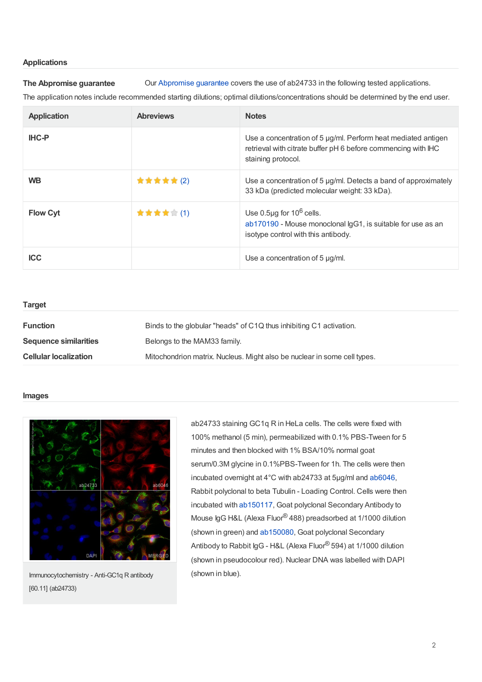#### **Applications**

**The Abpromise guarantee** Our [Abpromise](https://www.abcam.com/abpromise) guarantee covers the use of ab24733 in the following tested applications.

The application notes include recommended starting dilutions; optimal dilutions/concentrations should be determined by the end user.

| <b>Application</b> | <b>Abreviews</b> | <b>Notes</b>                                                                                                                                         |
|--------------------|------------------|------------------------------------------------------------------------------------------------------------------------------------------------------|
| <b>IHC-P</b>       |                  | Use a concentration of 5 µg/ml. Perform heat mediated antigen<br>retrieval with citrate buffer pH 6 before commencing with IHC<br>staining protocol. |
| <b>WB</b>          | ★★★★★(2)         | Use a concentration of 5 µg/ml. Detects a band of approximately<br>33 kDa (predicted molecular weight: 33 kDa).                                      |
| <b>Flow Cyt</b>    | ★★★★★(1)         | Use $0.5\mu$ g for $10^6$ cells.<br>ab170190 - Mouse monoclonal IgG1, is suitable for use as an<br>isotype control with this antibody.               |
| <b>ICC</b>         |                  | Use a concentration of $5 \mu g/ml$ .                                                                                                                |

| <b>Target</b>                |                                                                          |
|------------------------------|--------------------------------------------------------------------------|
| <b>Function</b>              | Binds to the globular "heads" of C1Q thus inhibiting C1 activation.      |
| <b>Sequence similarities</b> | Belongs to the MAM33 family.                                             |
| <b>Cellular localization</b> | Mitochondrion matrix. Nucleus. Might also be nuclear in some cell types. |
|                              |                                                                          |

#### **Images**



Immunocytochemistry - Anti-GC1q R antibody [60.11] (ab24733)

ab24733 staining GC1q R in HeLa cells. The cells were fixed with 100% methanol (5 min), permeabilized with 0.1% PBS-Tween for 5 minutes and then blocked with 1% BSA/10% normal goat serum/0.3M glycine in 0.1%PBS-Tween for 1h. The cells were then incubated overnight at 4°C with ab24733 at 5µg/ml and [ab6046](https://www.abcam.com/ab6046.html), Rabbit polyclonal to beta Tubulin - Loading Control. Cells were then incubated with [ab150117](https://www.abcam.com/ab150117.html), Goat polyclonal Secondary Antibody to Mouse IgG H&L (Alexa Fluor® 488) preadsorbed at 1/1000 dilution (shown in green) and [ab150080](https://www.abcam.com/ab150080.html), Goat polyclonal Secondary Antibody to Rabbit IgG - H&L (Alexa Fluor<sup>®</sup> 594) at 1/1000 dilution (shown in pseudocolour red). Nuclear DNA was labelled with DAPI (shown in blue).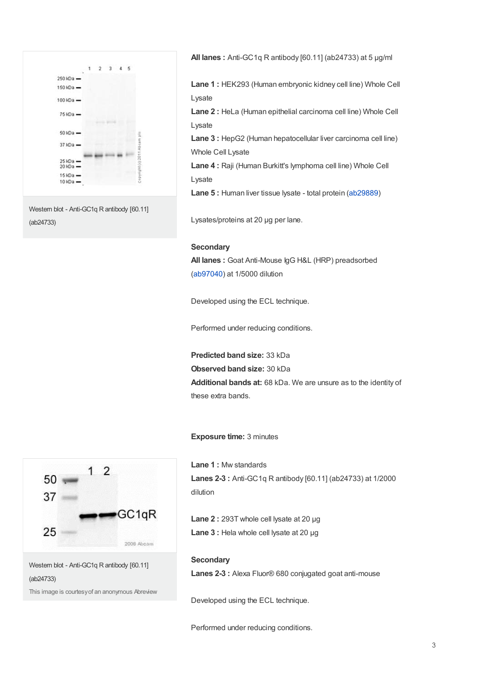

Western blot - Anti-GC1q R antibody [60.11] (ab24733)

**All lanes :** Anti-GC1q R antibody [60.11] (ab24733) at 5 µg/ml

**Lane 1 :** HEK293 (Human embryonic kidney cell line) Whole Cell Lysate

**Lane 2 :** HeLa (Human epithelial carcinoma cell line) Whole Cell Lysate

**Lane 3 :** HepG2 (Human hepatocellular liver carcinoma cell line) Whole Cell Lysate

**Lane 4 :** Raji (Human Burkitt's lymphoma cell line) Whole Cell Lysate

**Lane 5 :** Human liver tissue lysate - total protein [\(ab29889](https://www.abcam.com/ab29889.html))

Lysates/proteins at 20 µg per lane.

#### **Secondary**

**All lanes :** Goat Anti-Mouse IgG H&L (HRP) preadsorbed ([ab97040](https://www.abcam.com/ab97040.html)) at 1/5000 dilution

Developed using the ECL technique.

Performed under reducing conditions.

**Predicted band size:** 33 kDa **Observed band size:** 30 kDa **Additional bands at:** 68 kDa. We are unsure as to the identity of these extra bands.

#### **Exposure time:** 3 minutes

**Lane 1 :** Mw standards **Lanes 2-3 :** Anti-GC1q R antibody [60.11] (ab24733) at 1/2000 dilution

**Lane 2 :** 293T whole cell lysate at 20 µg **Lane 3 :** Hela whole cell lysate at 20 µg

#### **Secondary**

**Lanes 2-3 :** Alexa Fluor® 680 conjugated goat anti-mouse

Developed using the ECL technique.

Performed under reducing conditions.



Western blot - Anti-GC1q R antibody [60.11] (ab24733)

This image is courtesyof an anonymous Abreview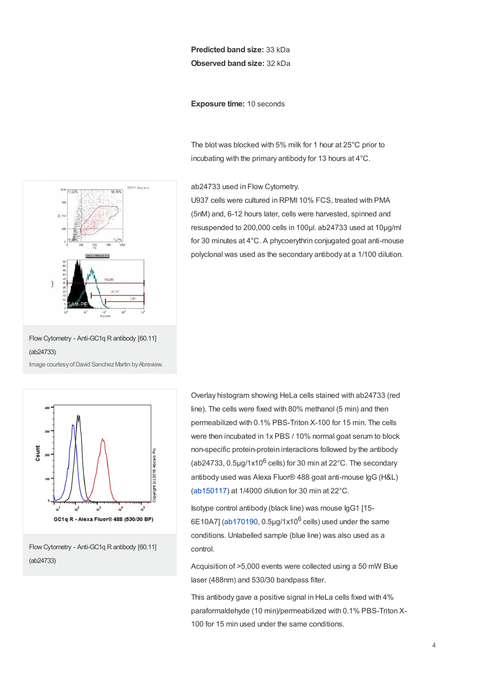#### **Predicted band size:** 33 kDa **Observed band size:** 32 kDa

**Exposure time:** 10 seconds

The blot was blocked with 5% milk for 1 hour at 25°C prior to incubating with the primary antibody for 13 hours at 4°C.

ab24733 used in Flow Cytometry.

U937 cells were cultured in RPMI 10% FCS, treated with PMA (5nM) and, 6-12 hours later, cells were harvested, spinned and resuspended to 200,000 cells in 100µl. ab24733 used at 10µg/ml for 30 minutes at 4°C. A phycoerythrin conjugated goat anti-mouse polyclonal was used as the secondary antibody at a 1/100 dilution.



Flow Cytometry - Anti-GC1q R antibody [60.11] (ab24733)

Image courtesy of David Sanchez Martin by Abreview.



Flow Cytometry - Anti-GC1q R antibody [60.11] (ab24733)

Overlay histogram showing HeLa cells stained with ab24733 (red line). The cells were fixed with 80% methanol (5 min) and then permeabilized with 0.1% PBS-Triton X-100 for 15 min. The cells were then incubated in 1x PBS / 10% normal goat serum to block non-specific protein-protein interactions followed by the antibody (ab24733,  $0.5$ µg/1x10 $^6$  cells) for 30 min at 22°C. The secondary antibody used was Alexa Fluor® 488 goat anti-mouse IgG (H&L) ([ab150117](https://www.abcam.com/ab150117.html)) at 1/4000 dilution for 30 min at 22°C.

Isotype control antibody (black line) was mouse IgG1 [15-  $6E10A7$ ] ([ab170190](https://www.abcam.com/ab170190.html), 0.5µg/1x10<sup>6</sup> cells) used under the same conditions. Unlabelled sample (blue line) was also used as a control.

Acquisition of >5,000 events were collected using a 50 mW Blue laser (488nm) and 530/30 bandpass filter.

This antibody gave a positive signal in HeLa cells fixed with 4% paraformaldehyde (10 min)/permeabilized with 0.1% PBS-Triton X-100 for 15 min used under the same conditions.